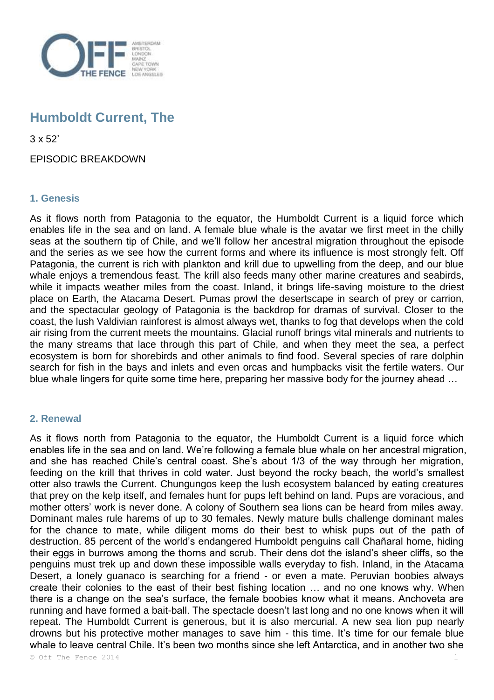

# **Humboldt Current, The**

3 x 52'

# EPISODIC BREAKDOWN

### **1. Genesis**

As it flows north from Patagonia to the equator, the Humboldt Current is a liquid force which enables life in the sea and on land. A female blue whale is the avatar we first meet in the chilly seas at the southern tip of Chile, and we'll follow her ancestral migration throughout the episode and the series as we see how the current forms and where its influence is most strongly felt. Off Patagonia, the current is rich with plankton and krill due to upwelling from the deep, and our blue whale enjoys a tremendous feast. The krill also feeds many other marine creatures and seabirds, while it impacts weather miles from the coast. Inland, it brings life-saving moisture to the driest place on Earth, the Atacama Desert. Pumas prowl the desertscape in search of prey or carrion, and the spectacular geology of Patagonia is the backdrop for dramas of survival. Closer to the coast, the lush Valdivian rainforest is almost always wet, thanks to fog that develops when the cold air rising from the current meets the mountains. Glacial runoff brings vital minerals and nutrients to the many streams that lace through this part of Chile, and when they meet the sea, a perfect ecosystem is born for shorebirds and other animals to find food. Several species of rare dolphin search for fish in the bays and inlets and even orcas and humpbacks visit the fertile waters. Our blue whale lingers for quite some time here, preparing her massive body for the journey ahead …

#### **2. Renewal**

As it flows north from Patagonia to the equator, the Humboldt Current is a liquid force which enables life in the sea and on land. We're following a female blue whale on her ancestral migration, and she has reached Chile's central coast. She's about 1/3 of the way through her migration, feeding on the krill that thrives in cold water. Just beyond the rocky beach, the world's smallest otter also trawls the Current. Chungungos keep the lush ecosystem balanced by eating creatures that prey on the kelp itself, and females hunt for pups left behind on land. Pups are voracious, and mother otters' work is never done. A colony of Southern sea lions can be heard from miles away. Dominant males rule harems of up to 30 females. Newly mature bulls challenge dominant males for the chance to mate, while diligent moms do their best to whisk pups out of the path of destruction. 85 percent of the world's endangered Humboldt penguins call Chañaral home, hiding their eggs in burrows among the thorns and scrub. Their dens dot the island's sheer cliffs, so the penguins must trek up and down these impossible walls everyday to fish. Inland, in the Atacama Desert, a lonely guanaco is searching for a friend - or even a mate. Peruvian boobies always create their colonies to the east of their best fishing location … and no one knows why. When there is a change on the sea's surface, the female boobies know what it means. Anchoveta are running and have formed a bait-ball. The spectacle doesn't last long and no one knows when it will repeat. The Humboldt Current is generous, but it is also mercurial. A new sea lion pup nearly drowns but his protective mother manages to save him - this time. It's time for our female blue whale to leave central Chile. It's been two months since she left Antarctica, and in another two she